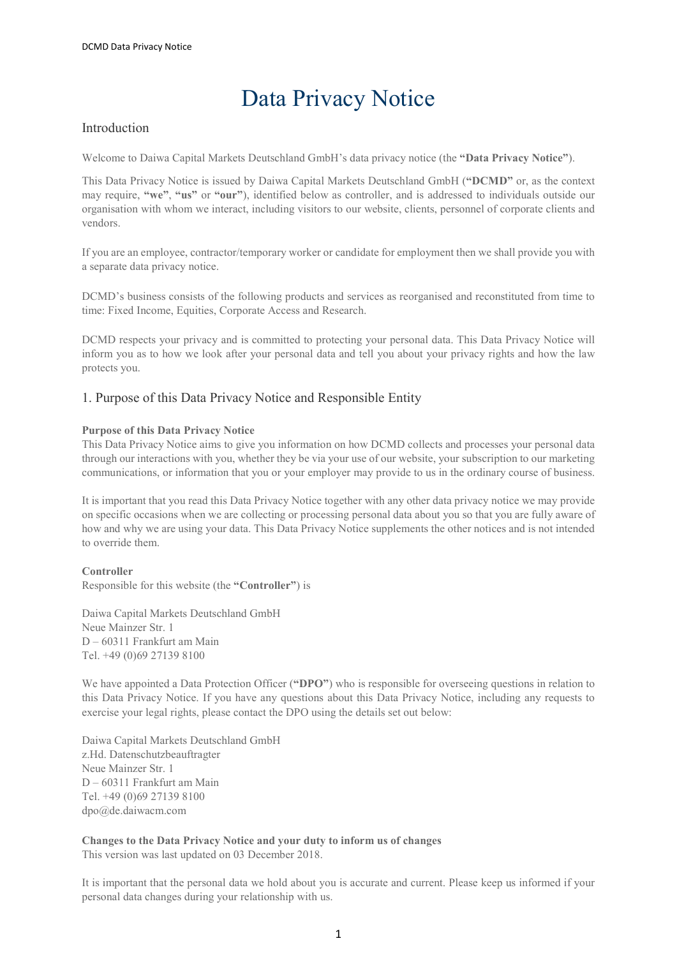# Data Privacy Notice

# Introduction

Welcome to Daiwa Capital Markets Deutschland GmbH's data privacy notice (the "Data Privacy Notice").

This Data Privacy Notice is issued by Daiwa Capital Markets Deutschland GmbH ("DCMD" or, as the context may require, "we", "us" or "our"), identified below as controller, and is addressed to individuals outside our organisation with whom we interact, including visitors to our website, clients, personnel of corporate clients and vendors.

If you are an employee, contractor/temporary worker or candidate for employment then we shall provide you with a separate data privacy notice.

DCMD's business consists of the following products and services as reorganised and reconstituted from time to time: Fixed Income, Equities, Corporate Access and Research.

DCMD respects your privacy and is committed to protecting your personal data. This Data Privacy Notice will inform you as to how we look after your personal data and tell you about your privacy rights and how the law protects you.

## 1. Purpose of this Data Privacy Notice and Responsible Entity

## Purpose of this Data Privacy Notice

This Data Privacy Notice aims to give you information on how DCMD collects and processes your personal data through our interactions with you, whether they be via your use of our website, your subscription to our marketing communications, or information that you or your employer may provide to us in the ordinary course of business.

It is important that you read this Data Privacy Notice together with any other data privacy notice we may provide on specific occasions when we are collecting or processing personal data about you so that you are fully aware of how and why we are using your data. This Data Privacy Notice supplements the other notices and is not intended to override them.

## Controller

Responsible for this website (the "Controller") is

Daiwa Capital Markets Deutschland GmbH Neue Mainzer Str. 1 D – 60311 Frankfurt am Main Tel. +49 (0)69 27139 8100

We have appointed a Data Protection Officer ("DPO") who is responsible for overseeing questions in relation to this Data Privacy Notice. If you have any questions about this Data Privacy Notice, including any requests to exercise your legal rights, please contact the DPO using the details set out below:

Daiwa Capital Markets Deutschland GmbH z.Hd. Datenschutzbeauftragter Neue Mainzer Str. 1 D – 60311 Frankfurt am Main Tel. +49 (0)69 27139 8100 dpo@de.daiwacm.com

Changes to the Data Privacy Notice and your duty to inform us of changes This version was last updated on 03 December 2018.

It is important that the personal data we hold about you is accurate and current. Please keep us informed if your personal data changes during your relationship with us.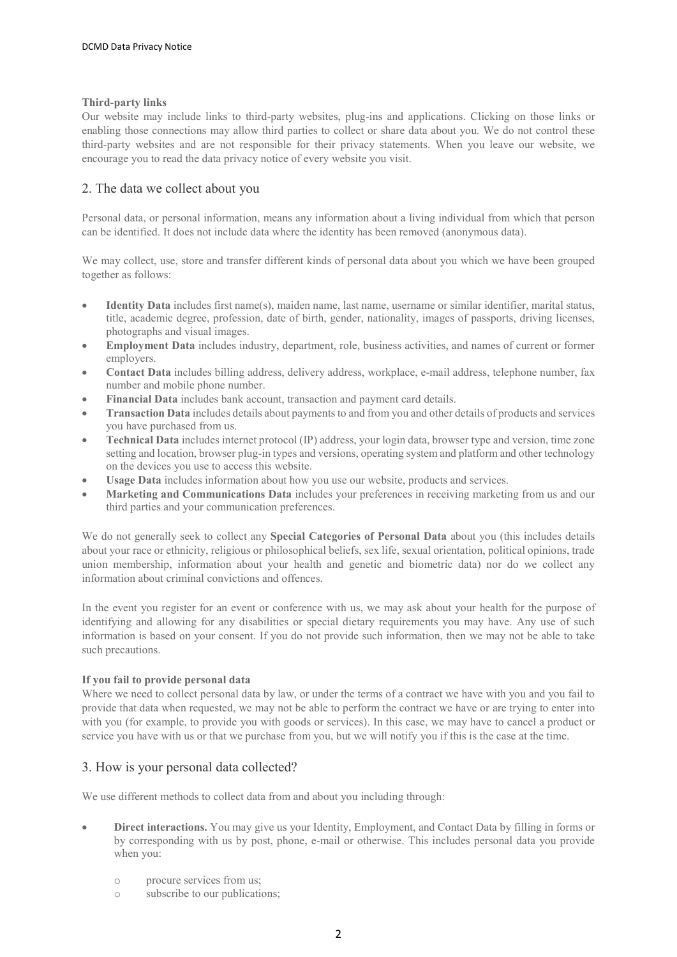## Third-party links

Our website may include links to third-party websites, plug-ins and applications. Clicking on those links or enabling those connections may allow third parties to collect or share data about you. We do not control these third-party websites and are not responsible for their privacy statements. When you leave our website, we encourage you to read the data privacy notice of every website you visit.

# 2. The data we collect about you

Personal data, or personal information, means any information about a living individual from which that person can be identified. It does not include data where the identity has been removed (anonymous data).

We may collect, use, store and transfer different kinds of personal data about you which we have been grouped together as follows:

- Identity Data includes first name(s), maiden name, last name, username or similar identifier, marital status, title, academic degree, profession, date of birth, gender, nationality, images of passports, driving licenses, photographs and visual images.
- Employment Data includes industry, department, role, business activities, and names of current or former employers.
- Contact Data includes billing address, delivery address, workplace, e-mail address, telephone number, fax number and mobile phone number.
- Financial Data includes bank account, transaction and payment card details.
- Transaction Data includes details about payments to and from you and other details of products and services you have purchased from us.
- Technical Data includes internet protocol (IP) address, your login data, browser type and version, time zone setting and location, browser plug-in types and versions, operating system and platform and other technology on the devices you use to access this website.
- Usage Data includes information about how you use our website, products and services.
- Marketing and Communications Data includes your preferences in receiving marketing from us and our third parties and your communication preferences.

We do not generally seek to collect any **Special Categories of Personal Data** about you (this includes details about your race or ethnicity, religious or philosophical beliefs, sex life, sexual orientation, political opinions, trade union membership, information about your health and genetic and biometric data) nor do we collect any information about criminal convictions and offences.

In the event you register for an event or conference with us, we may ask about your health for the purpose of identifying and allowing for any disabilities or special dietary requirements you may have. Any use of such information is based on your consent. If you do not provide such information, then we may not be able to take such precautions.

## If you fail to provide personal data

Where we need to collect personal data by law, or under the terms of a contract we have with you and you fail to provide that data when requested, we may not be able to perform the contract we have or are trying to enter into with you (for example, to provide you with goods or services). In this case, we may have to cancel a product or service you have with us or that we purchase from you, but we will notify you if this is the case at the time.

# 3. How is your personal data collected?

We use different methods to collect data from and about you including through:

- Direct interactions. You may give us your Identity, Employment, and Contact Data by filling in forms or by corresponding with us by post, phone, e-mail or otherwise. This includes personal data you provide when you:
	- o procure services from us;
	- o subscribe to our publications;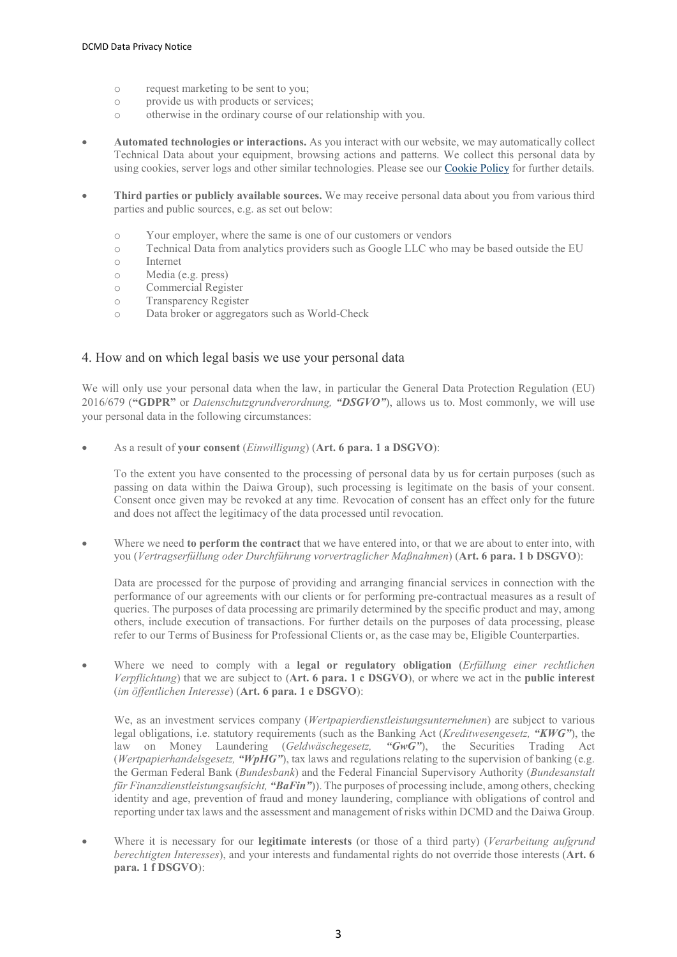- o request marketing to be sent to you;
- o provide us with products or services;
- o otherwise in the ordinary course of our relationship with you.
- Automated technologies or interactions. As you interact with our website, we may automatically collect Technical Data about your equipment, browsing actions and patterns. We collect this personal data by using cookies, server logs and other similar technologies. Please see our Cookie Policy for further details.
- Third parties or publicly available sources. We may receive personal data about you from various third parties and public sources, e.g. as set out below:
	- o Your employer, where the same is one of our customers or vendors
	- o Technical Data from analytics providers such as Google LLC who may be based outside the EU
	- o Internet
	- o Media (e.g. press)
	- o Commercial Register
	- o Transparency Register
	- o Data broker or aggregators such as World-Check

## 4. How and on which legal basis we use your personal data

We will only use your personal data when the law, in particular the General Data Protection Regulation (EU) 2016/679 ("GDPR" or *Datenschutzgrundverordnung*, "DSGVO"), allows us to. Most commonly, we will use your personal data in the following circumstances:

As a result of your consent *(Einwilligung)* (Art. 6 para. 1 a DSGVO):

To the extent you have consented to the processing of personal data by us for certain purposes (such as passing on data within the Daiwa Group), such processing is legitimate on the basis of your consent. Consent once given may be revoked at any time. Revocation of consent has an effect only for the future and does not affect the legitimacy of the data processed until revocation.

 Where we need to perform the contract that we have entered into, or that we are about to enter into, with you (Vertragserfüllung oder Durchführung vorvertraglicher Maßnahmen) (Art. 6 para. 1 b DSGVO):

Data are processed for the purpose of providing and arranging financial services in connection with the performance of our agreements with our clients or for performing pre-contractual measures as a result of queries. The purposes of data processing are primarily determined by the specific product and may, among others, include execution of transactions. For further details on the purposes of data processing, please refer to our Terms of Business for Professional Clients or, as the case may be, Eligible Counterparties.

• Where we need to comply with a legal or regulatory obligation (Erfüllung einer rechtlichen Verpflichtung) that we are subject to  $(Art. 6$  para. 1 c DSGVO), or where we act in the public interest (im öffentlichen Interesse) (Art. 6 para. 1 e DSGVO):

We, as an investment services company (Wertpapierdienstleistungsunternehmen) are subject to various legal obligations, i.e. statutory requirements (such as the Banking Act (Kreditwesengesetz, "KWG"), the law on Money Laundering (Geldwäschegesetz, "GwG"), the Securities Trading Act (Wertpapierhandelsgesetz, "WpHG"), tax laws and regulations relating to the supervision of banking (e.g. the German Federal Bank (Bundesbank) and the Federal Financial Supervisory Authority (Bundesanstalt für Finanzdienstleistungsaufsicht, "BaFin")). The purposes of processing include, among others, checking identity and age, prevention of fraud and money laundering, compliance with obligations of control and reporting under tax laws and the assessment and management of risks within DCMD and the Daiwa Group.

Where it is necessary for our **legitimate interests** (or those of a third party) (Verarbeitung aufgrund berechtigten Interesses), and your interests and fundamental rights do not override those interests (Art. 6 para. 1 f DSGVO):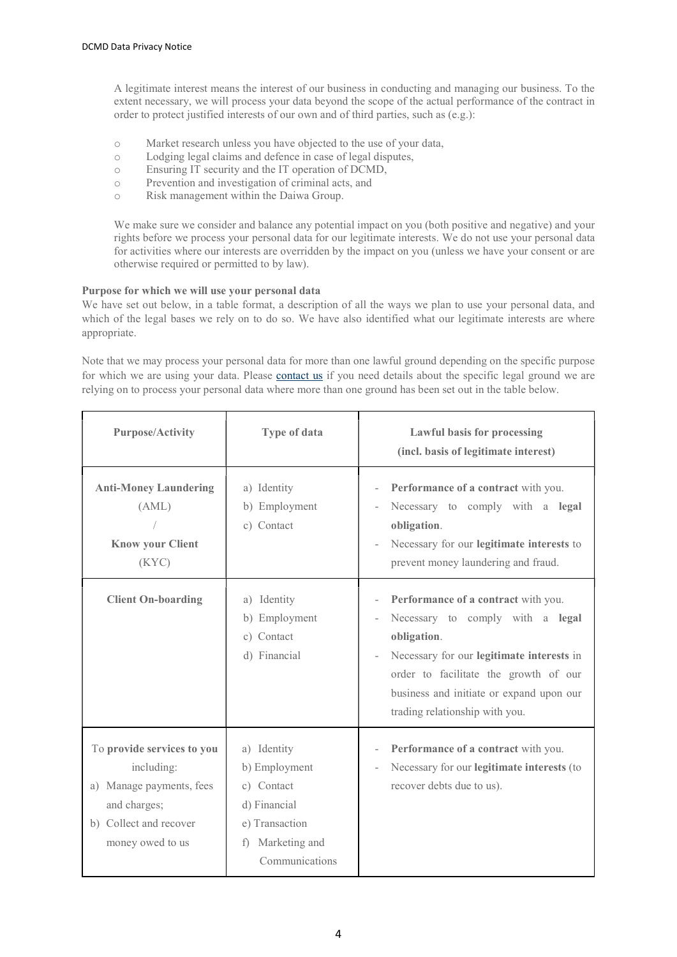A legitimate interest means the interest of our business in conducting and managing our business. To the extent necessary, we will process your data beyond the scope of the actual performance of the contract in order to protect justified interests of our own and of third parties, such as (e.g.):

- o Market research unless you have objected to the use of your data,
- o Lodging legal claims and defence in case of legal disputes,
- o Ensuring IT security and the IT operation of DCMD,
- o Prevention and investigation of criminal acts, and
- o Risk management within the Daiwa Group.

We make sure we consider and balance any potential impact on you (both positive and negative) and your rights before we process your personal data for our legitimate interests. We do not use your personal data for activities where our interests are overridden by the impact on you (unless we have your consent or are otherwise required or permitted to by law).

## Purpose for which we will use your personal data

We have set out below, in a table format, a description of all the ways we plan to use your personal data, and which of the legal bases we rely on to do so. We have also identified what our legitimate interests are where appropriate.

Note that we may process your personal data for more than one lawful ground depending on the specific purpose for which we are using your data. Please contact us if you need details about the specific legal ground we are relying on to process your personal data where more than one ground has been set out in the table below.

| <b>Purpose/Activity</b>                                                                                                            | <b>Type of data</b>                                                                                                | <b>Lawful basis for processing</b><br>(incl. basis of legitimate interest)                                                                                                                                                                                 |
|------------------------------------------------------------------------------------------------------------------------------------|--------------------------------------------------------------------------------------------------------------------|------------------------------------------------------------------------------------------------------------------------------------------------------------------------------------------------------------------------------------------------------------|
| <b>Anti-Money Laundering</b><br>(AML)<br><b>Know your Client</b><br>(KYC)                                                          | a) Identity<br>b) Employment<br>c) Contact                                                                         | Performance of a contract with you.<br>Necessary to comply with a legal<br>obligation.<br>Necessary for our legitimate interests to<br>prevent money laundering and fraud.                                                                                 |
| <b>Client On-boarding</b>                                                                                                          | Identity<br>a)<br>b) Employment<br>c) Contact<br>d) Financial                                                      | Performance of a contract with you.<br>Necessary to comply with a legal<br>obligation.<br>Necessary for our legitimate interests in<br>order to facilitate the growth of our<br>business and initiate or expand upon our<br>trading relationship with you. |
| To provide services to you<br>including:<br>a) Manage payments, fees<br>and charges;<br>b) Collect and recover<br>money owed to us | a) Identity<br>b) Employment<br>c) Contact<br>d) Financial<br>e) Transaction<br>f) Marketing and<br>Communications | Performance of a contract with you.<br>$\overline{\phantom{a}}$<br>Necessary for our legitimate interests (to<br>recover debts due to us).                                                                                                                 |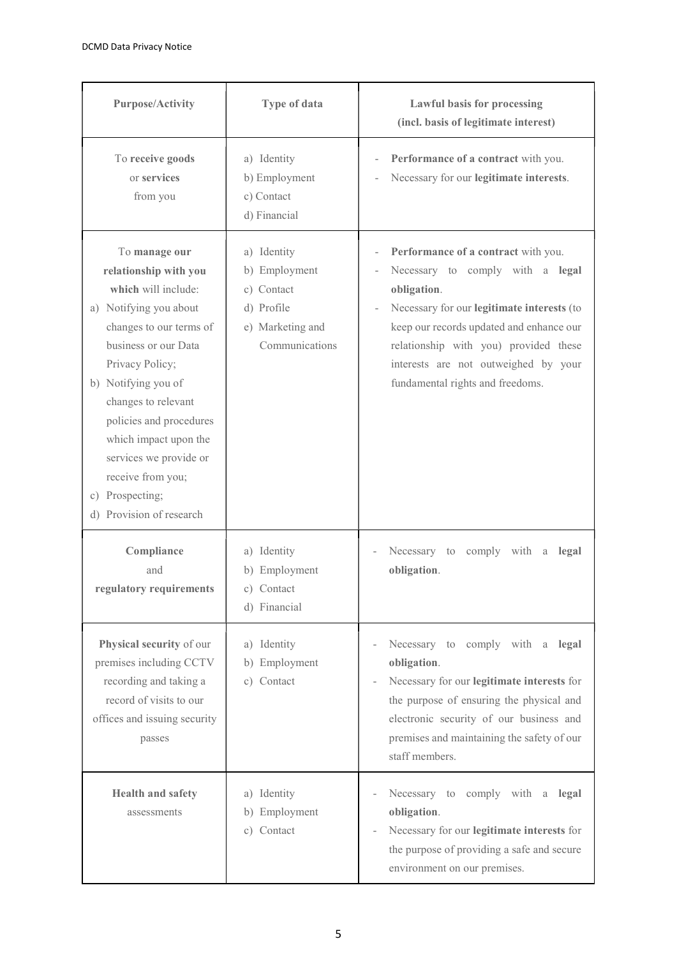| <b>Purpose/Activity</b>                                                                                                                                                                                                                                                                                                                                       | Type of data                                                                                   | <b>Lawful basis for processing</b><br>(incl. basis of legitimate interest)                                                                                                                                                                                                                            |
|---------------------------------------------------------------------------------------------------------------------------------------------------------------------------------------------------------------------------------------------------------------------------------------------------------------------------------------------------------------|------------------------------------------------------------------------------------------------|-------------------------------------------------------------------------------------------------------------------------------------------------------------------------------------------------------------------------------------------------------------------------------------------------------|
| To receive goods<br>or services<br>from you                                                                                                                                                                                                                                                                                                                   | a) Identity<br>b) Employment<br>c) Contact<br>d) Financial                                     | Performance of a contract with you.<br>Necessary for our legitimate interests.                                                                                                                                                                                                                        |
| To manage our<br>relationship with you<br>which will include:<br>a) Notifying you about<br>changes to our terms of<br>business or our Data<br>Privacy Policy;<br>b) Notifying you of<br>changes to relevant<br>policies and procedures<br>which impact upon the<br>services we provide or<br>receive from you;<br>c) Prospecting;<br>d) Provision of research | a) Identity<br>b) Employment<br>c) Contact<br>d) Profile<br>e) Marketing and<br>Communications | Performance of a contract with you.<br>Necessary to comply with a legal<br>obligation.<br>Necessary for our legitimate interests (to<br>keep our records updated and enhance our<br>relationship with you) provided these<br>interests are not outweighed by your<br>fundamental rights and freedoms. |
| Compliance<br>and<br>regulatory requirements                                                                                                                                                                                                                                                                                                                  | a) Identity<br>b) Employment<br>c) Contact<br>d) Financial                                     | Necessary to<br>comply with<br>legal<br>a<br>obligation.                                                                                                                                                                                                                                              |
| Physical security of our<br>premises including CCTV<br>recording and taking a<br>record of visits to our<br>offices and issuing security<br>passes                                                                                                                                                                                                            | a) Identity<br>b) Employment<br>c) Contact                                                     | Necessary to comply with a<br>legal<br>obligation.<br>Necessary for our legitimate interests for<br>$\overline{\phantom{0}}$<br>the purpose of ensuring the physical and<br>electronic security of our business and<br>premises and maintaining the safety of our<br>staff members.                   |
| Health and safety<br>assessments                                                                                                                                                                                                                                                                                                                              | a) Identity<br>b) Employment<br>c) Contact                                                     | Necessary to comply with<br>$\rm{a}$<br>legal<br>obligation.<br>Necessary for our legitimate interests for<br>the purpose of providing a safe and secure<br>environment on our premises.                                                                                                              |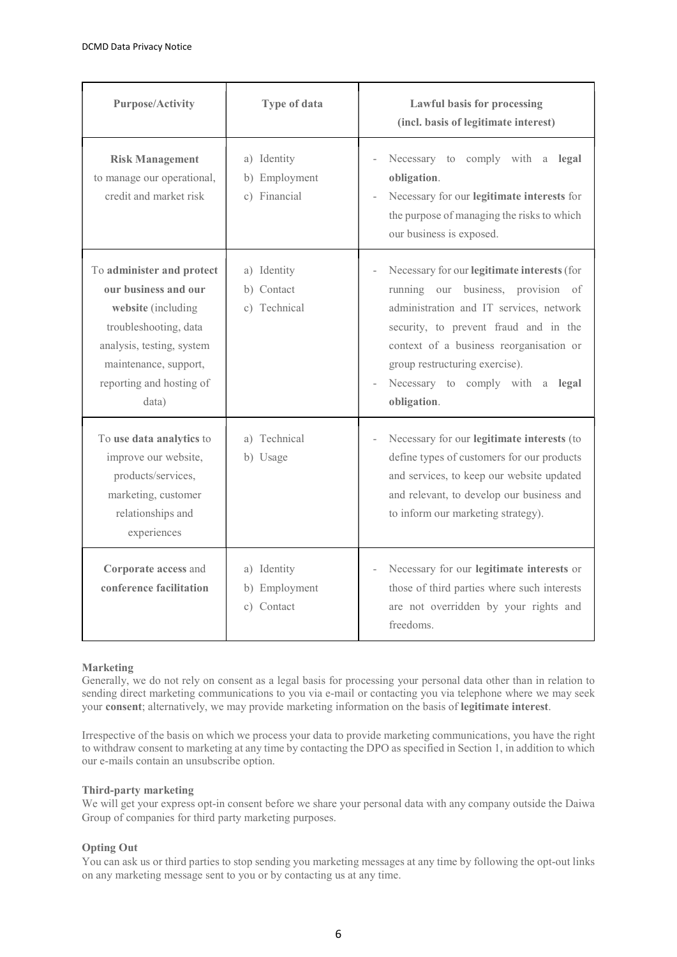| <b>Purpose/Activity</b>                                                                                                                                                                     | Type of data                                 | <b>Lawful basis for processing</b><br>(incl. basis of legitimate interest)                                                                                                                                                                                                                            |
|---------------------------------------------------------------------------------------------------------------------------------------------------------------------------------------------|----------------------------------------------|-------------------------------------------------------------------------------------------------------------------------------------------------------------------------------------------------------------------------------------------------------------------------------------------------------|
| <b>Risk Management</b><br>to manage our operational,<br>credit and market risk                                                                                                              | a) Identity<br>b) Employment<br>c) Financial | Necessary to comply with a<br>legal<br>obligation.<br>Necessary for our legitimate interests for<br>the purpose of managing the risks to which<br>our business is exposed.                                                                                                                            |
| To administer and protect<br>our business and our<br>website (including<br>troubleshooting, data<br>analysis, testing, system<br>maintenance, support,<br>reporting and hosting of<br>data) | a) Identity<br>b) Contact<br>c) Technical    | Necessary for our legitimate interests (for<br>running our business, provision of<br>administration and IT services, network<br>security, to prevent fraud and in the<br>context of a business reorganisation or<br>group restructuring exercise).<br>Necessary to comply with a legal<br>obligation. |
| To use data analytics to<br>improve our website,<br>products/services,<br>marketing, customer<br>relationships and<br>experiences                                                           | a) Technical<br>b) Usage                     | Necessary for our legitimate interests (to<br>define types of customers for our products<br>and services, to keep our website updated<br>and relevant, to develop our business and<br>to inform our marketing strategy).                                                                              |
| Corporate access and<br>conference facilitation                                                                                                                                             | a) Identity<br>b) Employment<br>c) Contact   | Necessary for our legitimate interests or<br>those of third parties where such interests<br>are not overridden by your rights and<br>freedoms.                                                                                                                                                        |

## Marketing

Generally, we do not rely on consent as a legal basis for processing your personal data other than in relation to sending direct marketing communications to you via e-mail or contacting you via telephone where we may seek your consent; alternatively, we may provide marketing information on the basis of legitimate interest.

Irrespective of the basis on which we process your data to provide marketing communications, you have the right to withdraw consent to marketing at any time by contacting the DPO as specified in Section 1, in addition to which our e-mails contain an unsubscribe option.

## Third-party marketing

We will get your express opt-in consent before we share your personal data with any company outside the Daiwa Group of companies for third party marketing purposes.

## Opting Out

You can ask us or third parties to stop sending you marketing messages at any time by following the opt-out links on any marketing message sent to you or by contacting us at any time.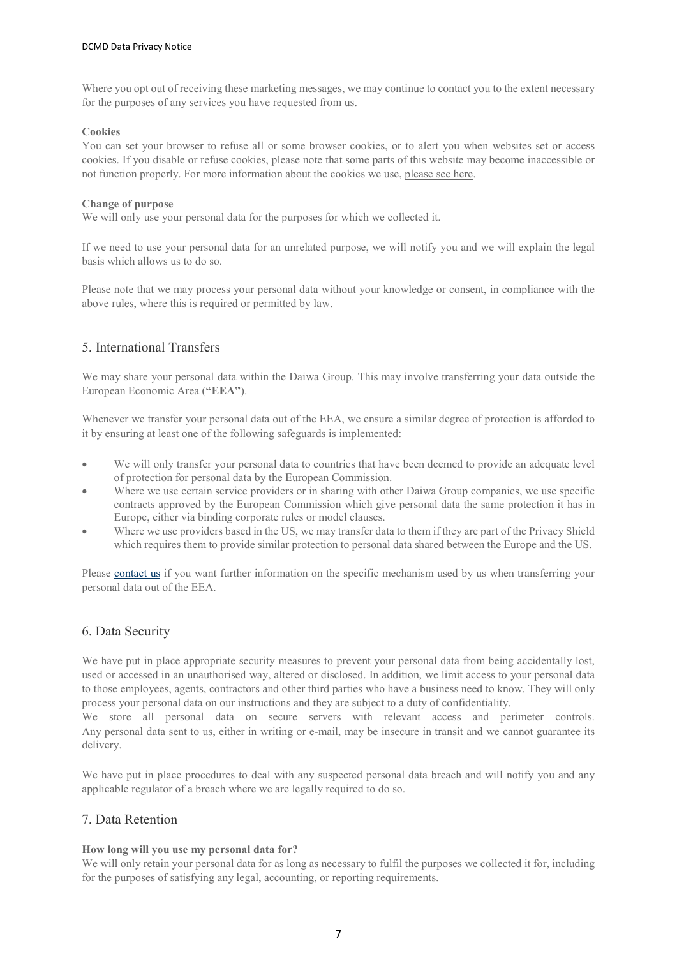Where you opt out of receiving these marketing messages, we may continue to contact you to the extent necessary for the purposes of any services you have requested from us.

## Cookies

You can set your browser to refuse all or some browser cookies, or to alert you when websites set or access cookies. If you disable or refuse cookies, please note that some parts of this website may become inaccessible or not function properly. For more information about the cookies we use, please see here.

#### Change of purpose

We will only use your personal data for the purposes for which we collected it.

If we need to use your personal data for an unrelated purpose, we will notify you and we will explain the legal basis which allows us to do so.

Please note that we may process your personal data without your knowledge or consent, in compliance with the above rules, where this is required or permitted by law.

## 5. International Transfers

We may share your personal data within the Daiwa Group. This may involve transferring your data outside the European Economic Area ("EEA").

Whenever we transfer your personal data out of the EEA, we ensure a similar degree of protection is afforded to it by ensuring at least one of the following safeguards is implemented:

- We will only transfer your personal data to countries that have been deemed to provide an adequate level of protection for personal data by the European Commission.
- Where we use certain service providers or in sharing with other Daiwa Group companies, we use specific contracts approved by the European Commission which give personal data the same protection it has in Europe, either via binding corporate rules or model clauses.
- Where we use providers based in the US, we may transfer data to them if they are part of the Privacy Shield which requires them to provide similar protection to personal data shared between the Europe and the US.

Please contact us if you want further information on the specific mechanism used by us when transferring your personal data out of the EEA.

## 6. Data Security

We have put in place appropriate security measures to prevent your personal data from being accidentally lost, used or accessed in an unauthorised way, altered or disclosed. In addition, we limit access to your personal data to those employees, agents, contractors and other third parties who have a business need to know. They will only process your personal data on our instructions and they are subject to a duty of confidentiality.

We store all personal data on secure servers with relevant access and perimeter controls. Any personal data sent to us, either in writing or e-mail, may be insecure in transit and we cannot guarantee its delivery.

We have put in place procedures to deal with any suspected personal data breach and will notify you and any applicable regulator of a breach where we are legally required to do so.

# 7. Data Retention

## How long will you use my personal data for?

We will only retain your personal data for as long as necessary to fulfil the purposes we collected it for, including for the purposes of satisfying any legal, accounting, or reporting requirements.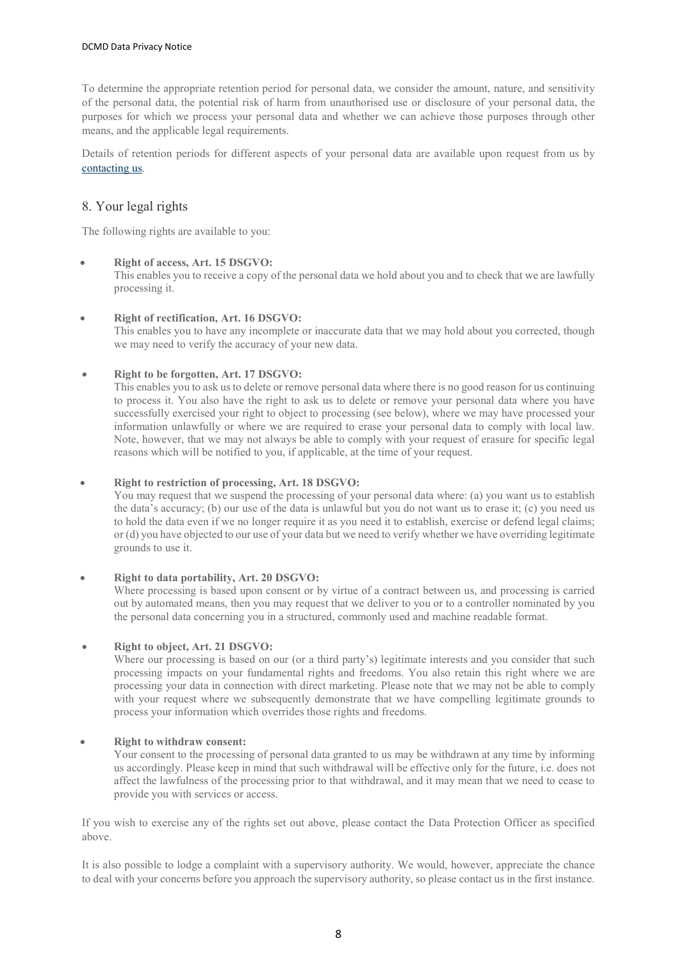To determine the appropriate retention period for personal data, we consider the amount, nature, and sensitivity of the personal data, the potential risk of harm from unauthorised use or disclosure of your personal data, the purposes for which we process your personal data and whether we can achieve those purposes through other means, and the applicable legal requirements.

Details of retention periods for different aspects of your personal data are available upon request from us by contacting us.

# 8. Your legal rights

The following rights are available to you:

## Right of access, Art. 15 DSGVO:

 This enables you to receive a copy of the personal data we hold about you and to check that we are lawfully processing it.

## Right of rectification, Art. 16 DSGVO:

 This enables you to have any incomplete or inaccurate data that we may hold about you corrected, though we may need to verify the accuracy of your new data.

## Right to be forgotten, Art. 17 DSGVO:

 This enables you to ask us to delete or remove personal data where there is no good reason for us continuing to process it. You also have the right to ask us to delete or remove your personal data where you have successfully exercised your right to object to processing (see below), where we may have processed your information unlawfully or where we are required to erase your personal data to comply with local law. Note, however, that we may not always be able to comply with your request of erasure for specific legal reasons which will be notified to you, if applicable, at the time of your request.

## Right to restriction of processing, Art. 18 DSGVO:

 You may request that we suspend the processing of your personal data where: (a) you want us to establish the data's accuracy; (b) our use of the data is unlawful but you do not want us to erase it; (c) you need us to hold the data even if we no longer require it as you need it to establish, exercise or defend legal claims; or (d) you have objected to our use of your data but we need to verify whether we have overriding legitimate grounds to use it.

## Right to data portability, Art. 20 DSGVO:

 Where processing is based upon consent or by virtue of a contract between us, and processing is carried out by automated means, then you may request that we deliver to you or to a controller nominated by you the personal data concerning you in a structured, commonly used and machine readable format.

## Right to object, Art. 21 DSGVO:

Where our processing is based on our (or a third party's) legitimate interests and you consider that such processing impacts on your fundamental rights and freedoms. You also retain this right where we are processing your data in connection with direct marketing. Please note that we may not be able to comply with your request where we subsequently demonstrate that we have compelling legitimate grounds to process your information which overrides those rights and freedoms.

## Right to withdraw consent:

 Your consent to the processing of personal data granted to us may be withdrawn at any time by informing us accordingly. Please keep in mind that such withdrawal will be effective only for the future, i.e. does not affect the lawfulness of the processing prior to that withdrawal, and it may mean that we need to cease to provide you with services or access.

If you wish to exercise any of the rights set out above, please contact the Data Protection Officer as specified above.

It is also possible to lodge a complaint with a supervisory authority. We would, however, appreciate the chance to deal with your concerns before you approach the supervisory authority, so please contact us in the first instance.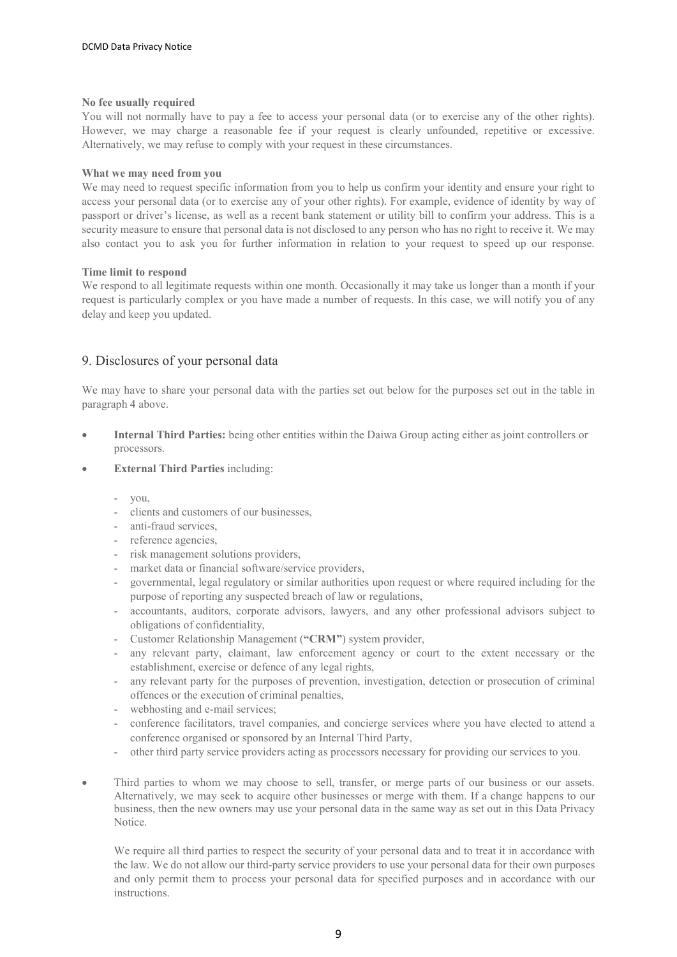#### No fee usually required

You will not normally have to pay a fee to access your personal data (or to exercise any of the other rights). However, we may charge a reasonable fee if your request is clearly unfounded, repetitive or excessive. Alternatively, we may refuse to comply with your request in these circumstances.

#### What we may need from you

We may need to request specific information from you to help us confirm your identity and ensure your right to access your personal data (or to exercise any of your other rights). For example, evidence of identity by way of passport or driver's license, as well as a recent bank statement or utility bill to confirm your address. This is a security measure to ensure that personal data is not disclosed to any person who has no right to receive it. We may also contact you to ask you for further information in relation to your request to speed up our response.

#### Time limit to respond

We respond to all legitimate requests within one month. Occasionally it may take us longer than a month if your request is particularly complex or you have made a number of requests. In this case, we will notify you of any delay and keep you updated.

## 9. Disclosures of your personal data

We may have to share your personal data with the parties set out below for the purposes set out in the table in paragraph 4 above.

- Internal Third Parties: being other entities within the Daiwa Group acting either as joint controllers or processors.
- External Third Parties including:
	- you,
	- clients and customers of our businesses,
	- anti-fraud services,
	- reference agencies,
	- risk management solutions providers,
	- market data or financial software/service providers,
	- governmental, legal regulatory or similar authorities upon request or where required including for the purpose of reporting any suspected breach of law or regulations,
	- accountants, auditors, corporate advisors, lawyers, and any other professional advisors subject to obligations of confidentiality,
	- Customer Relationship Management ("CRM") system provider,
	- any relevant party, claimant, law enforcement agency or court to the extent necessary or the establishment, exercise or defence of any legal rights,
	- any relevant party for the purposes of prevention, investigation, detection or prosecution of criminal offences or the execution of criminal penalties,
	- webhosting and e-mail services;
	- conference facilitators, travel companies, and concierge services where you have elected to attend a conference organised or sponsored by an Internal Third Party,
	- other third party service providers acting as processors necessary for providing our services to you.
- Third parties to whom we may choose to sell, transfer, or merge parts of our business or our assets. Alternatively, we may seek to acquire other businesses or merge with them. If a change happens to our business, then the new owners may use your personal data in the same way as set out in this Data Privacy Notice.

We require all third parties to respect the security of your personal data and to treat it in accordance with the law. We do not allow our third-party service providers to use your personal data for their own purposes and only permit them to process your personal data for specified purposes and in accordance with our instructions.